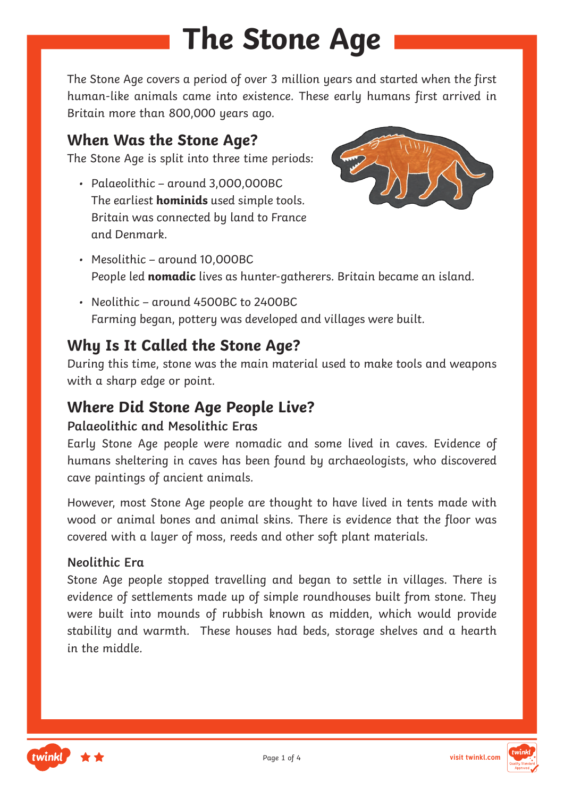# **The Stone Age**

The Stone Age covers a period of over 3 million years and started when the first human-like animals came into existence. These early humans first arrived in Britain more than 800,000 years ago.

### **When Was the Stone Age?**

The Stone Age is split into three time periods:

• Palaeolithic – around 3,000,000BC The earliest **hominids** used simple tools. Britain was connected by land to France and Denmark.



- Mesolithic around 10,000BC People led **nomadic** lives as hunter-gatherers. Britain became an island.
- Neolithic around 4500BC to 2400BC Farming began, pottery was developed and villages were built.

## **Why Is It Called the Stone Age?**

During this time, stone was the main material used to make tools and weapons with a sharp edge or point.

### **Where Did Stone Age People Live?**

#### **Palaeolithic and Mesolithic Eras**

Early Stone Age people were nomadic and some lived in caves. Evidence of humans sheltering in caves has been found by archaeologists, who discovered cave paintings of ancient animals.

However, most Stone Age people are thought to have lived in tents made with wood or animal bones and animal skins. There is evidence that the floor was covered with a layer of moss, reeds and other soft plant materials.

#### **Neolithic Era**

Stone Age people stopped travelling and began to settle in villages. There is evidence of settlements made up of simple roundhouses built from stone. They were built into mounds of rubbish known as midden, which would provide stability and warmth. These houses had beds, storage shelves and a hearth in the middle.



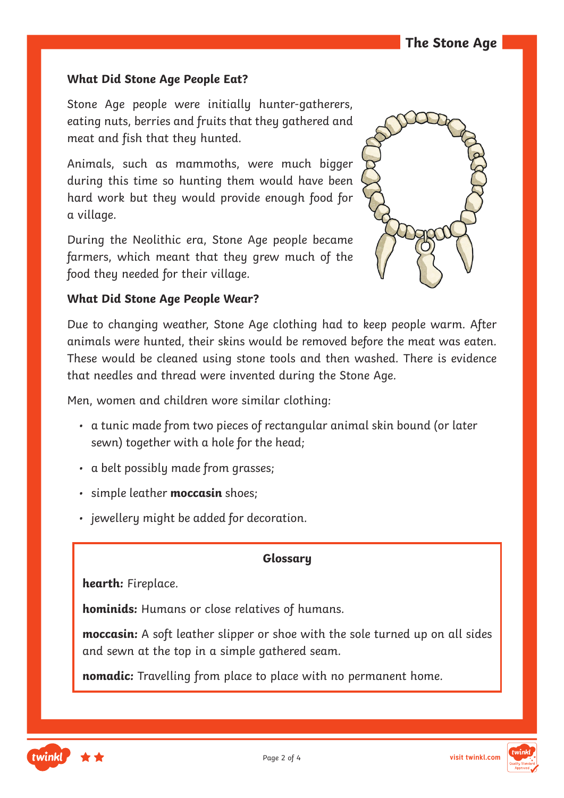#### **What Did Stone Age People Eat?**

Stone Age people were initially hunter-gatherers, eating nuts, berries and fruits that they gathered and meat and fish that they hunted.

Animals, such as mammoths, were much bigger during this time so hunting them would have been hard work but they would provide enough food for a village.

During the Neolithic era, Stone Age people became farmers, which meant that they grew much of the food they needed for their village.



#### **What Did Stone Age People Wear?**

Due to changing weather, Stone Age clothing had to keep people warm. After animals were hunted, their skins would be removed before the meat was eaten. These would be cleaned using stone tools and then washed. There is evidence that needles and thread were invented during the Stone Age.

Men, women and children wore similar clothing:

- a tunic made from two pieces of rectangular animal skin bound (or later sewn) together with a hole for the head;
- a belt possibly made from grasses;
- simple leather **moccasin** shoes;
- jewellery might be added for decoration.

#### **Glossary**

**hearth:** Fireplace.

**hominids:** Humans or close relatives of humans.

**moccasin:** A soft leather slipper or shoe with the sole turned up on all sides and sewn at the top in a simple gathered seam.

**nomadic:** Travelling from place to place with no permanent home.

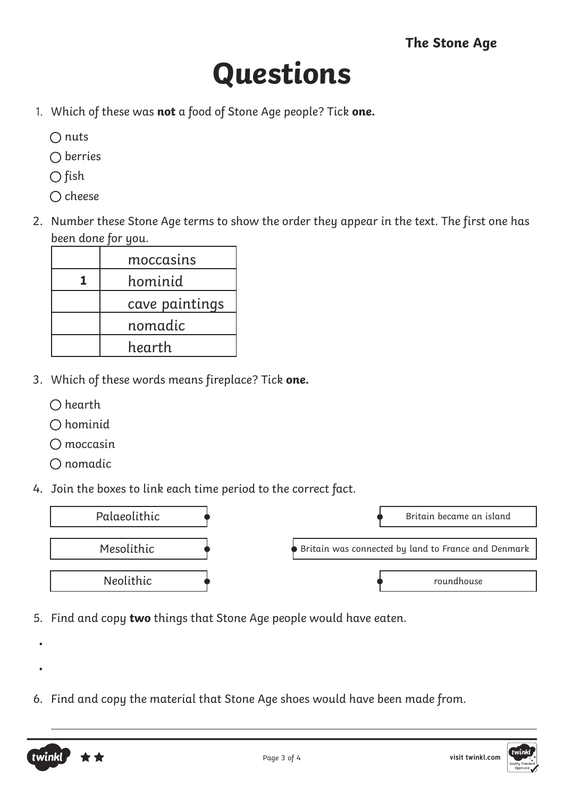## **Questions**

- 1. Which of these was **not** a food of Stone Age people? Tick **one.**
	- $\bigcap$  nuts
	- $\bigcap$  berries
	- $\bigcirc$  fish
	- $\bigcirc$  cheese
- 2. Number these Stone Age terms to show the order they appear in the text. The first one has been done for you.

| moccasins      |
|----------------|
| hominid        |
| cave paintings |
| nomadic        |
| hearth         |

- 3. Which of these words means fireplace? Tick **one.**
	- $\bigcirc$  hearth
	- $\bigcap$  hominid
	- $\bigcap$  moccasin
	- $O$  nomadic

•

•

twink

4. Join the boxes to link each time period to the correct fact.



- 5. Find and copy **two** things that Stone Age people would have eaten.
- 6. Find and copy the material that Stone Age shoes would have been made from.

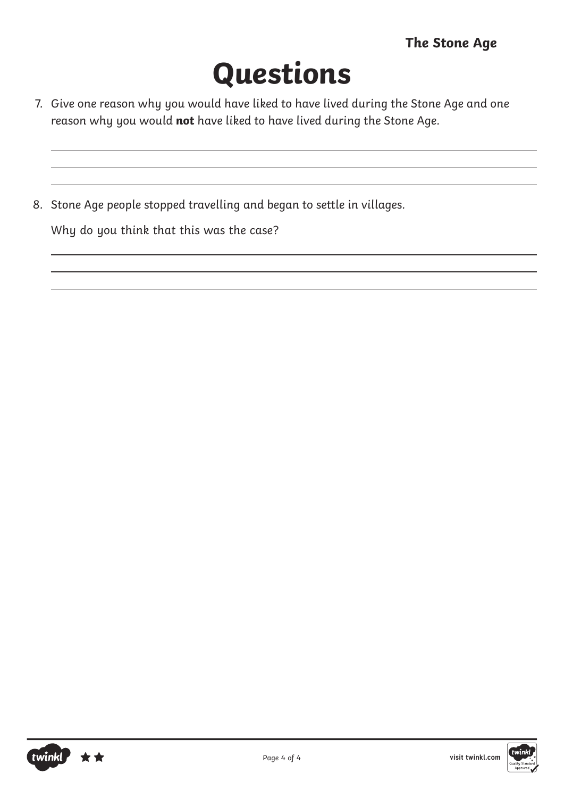# **Questions**

- 7. Give one reason why you would have liked to have lived during the Stone Age and one reason why you would **not** have liked to have lived during the Stone Age.
- 8. Stone Age people stopped travelling and began to settle in villages.

Why do you think that this was the case?

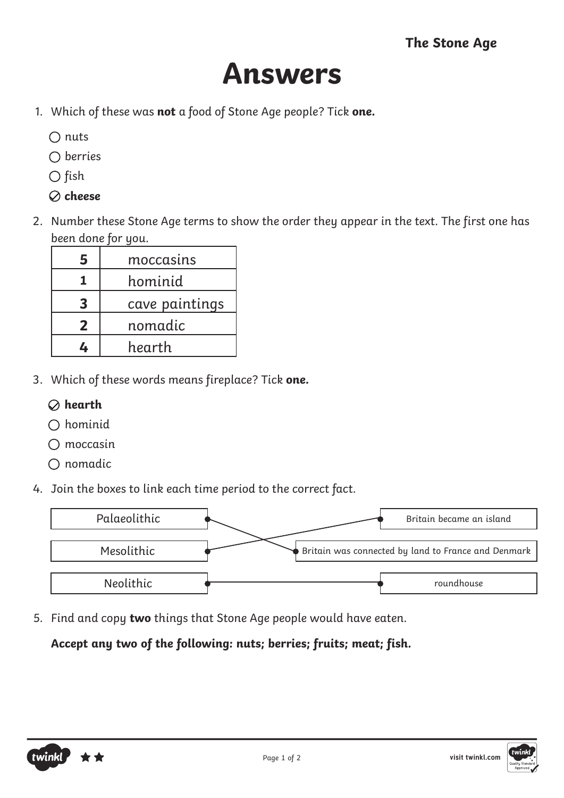## **Answers**

- 1. Which of these was **not** a food of Stone Age people? Tick **one.**
	- $\bigcap$  nuts
	- $\bigcap$  berries
	- $\bigcirc$  fish
	- **cheese**
- 2. Number these Stone Age terms to show the order they appear in the text. The first one has been done for you.

| 5            | moccasins      |
|--------------|----------------|
|              | hominid        |
| 3            | cave paintings |
| $\mathbf{2}$ | nomadic        |
|              | hearth         |

- 3. Which of these words means fireplace? Tick **one.**
	- **hearth**
	- $\bigcap$  hominid
	- $\bigcap$  moccasin
	- $\bigcirc$  nomadic
- 4. Join the boxes to link each time period to the correct fact.



5. Find and copy **two** things that Stone Age people would have eaten.

### **Accept any two of the following: nuts; berries; fruits; meat; fish.**